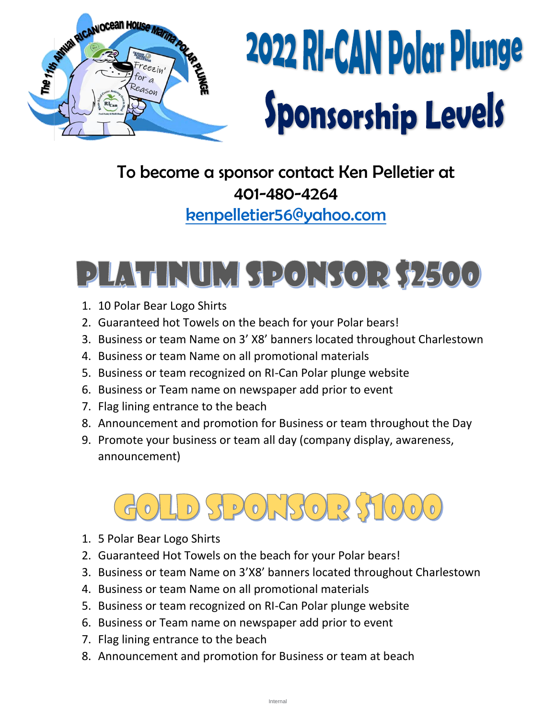

# 2022 RI-CAN Polar Plunge **Sponsorship Levels**

### To become a sponsor contact Ken Pelletier at 401-480-4264

[kenpelletier56@yahoo.com](mailto:kenpelletier56@yahoo.com)

## PLATINUM SPONSOR \$2500

- 1. 10 Polar Bear Logo Shirts
- 2. Guaranteed hot Towels on the beach for your Polar bears!
- 3. Business or team Name on 3' X8' banners located throughout Charlestown
- 4. Business or team Name on all promotional materials
- 5. Business or team recognized on RI-Can Polar plunge website
- 6. Business or Team name on newspaper add prior to event
- 7. Flag lining entrance to the beach
- 8. Announcement and promotion for Business or team throughout the Day
- 9. Promote your business or team all day (company display, awareness, announcement)

#### $500150235$  $(0)(0)$  $D)$

- 1. 5 Polar Bear Logo Shirts
- 2. Guaranteed Hot Towels on the beach for your Polar bears!
- 3. Business or team Name on 3'X8' banners located throughout Charlestown
- 4. Business or team Name on all promotional materials
- 5. Business or team recognized on RI-Can Polar plunge website
- 6. Business or Team name on newspaper add prior to event
- 7. Flag lining entrance to the beach
- 8. Announcement and promotion for Business or team at beach